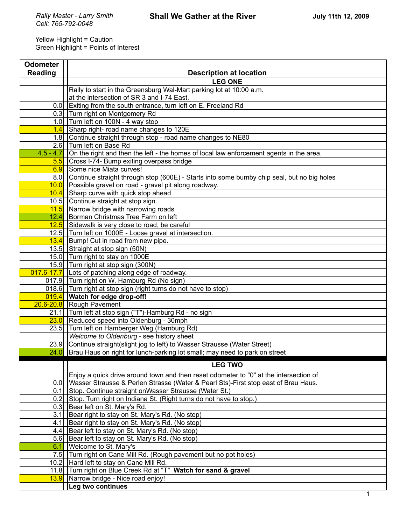$\overline{\mathbf{u}}$ 

Ē

٦

| <b>Odometer</b> |                                                                                                  |
|-----------------|--------------------------------------------------------------------------------------------------|
| <b>Reading</b>  | <b>Description at location</b>                                                                   |
|                 | <b>LEG ONE</b>                                                                                   |
|                 | Rally to start in the Greensburg Wal-Mart parking lot at 10:00 a.m.                              |
|                 | at the intersection of SR 3 and I-74 East.                                                       |
| 0.0             | Exiting from the south entrance, turn left on E. Freeland Rd                                     |
|                 | 0.3 Turn right on Montgomery Rd                                                                  |
|                 | 1.0 $\vert$ Turn left on 100N - 4 way stop                                                       |
| 1.4             | Sharp right- road name changes to 120E                                                           |
|                 | 1.8 Continue straight through stop - road name changes to NE80                                   |
|                 | 2.6 Turn left on Base Rd                                                                         |
| $4.5 - 4.7$     | On the right and then the left - the homes of local law enforcement agents in the area.          |
|                 | 5.5 Cross I-74- Bump exiting overpass bridge                                                     |
| 6.9             | Some nice Miata curves!                                                                          |
| 8.0             | Continue straight through stop (600E) - Starts into some bumby chip seal, but no big holes       |
|                 | 10.0 Possible gravel on road - gravel pit along roadway.                                         |
|                 | 10.4 Sharp curve with quick stop ahead                                                           |
|                 | 10.5 Continue straight at stop sign.                                                             |
|                 | $11.5$ Narrow bridge with narrowing roads                                                        |
| 12.4            | Borman Christmas Tree Farm on left                                                               |
|                 | 12.5 Sidewalk is very close to road; be careful                                                  |
|                 | 12.5 Turn left on 1000E - Loose gravel at intersection.                                          |
|                 | 13.4 Bump! Cut in road from new pipe.                                                            |
|                 | 13.5 Straight at stop sign (50N)<br>15.0 Turn right to stay on 1000E                             |
|                 | 15.9 Turn right at stop sign (300N)                                                              |
|                 | $\overline{017.6}$ -17.7 Lots of patching along edge of roadway.                                 |
|                 | 017.9 Turn right on W. Hamburg Rd (No sign)                                                      |
|                 | 018.6 Turn right at stop sign (right turns do not have to stop)                                  |
|                 | 019.4 Watch for edge drop-off!                                                                   |
|                 | 20.6-20.8 Rough Pavement                                                                         |
|                 | 21.1 Turn left at stop sign ("T")-Hamburg Rd - no sign                                           |
|                 | $23.0$ Reduced speed into Oldenburg - 30mph                                                      |
|                 | 23.5 Turn left on Hamberger Weg (Hamburg Rd)                                                     |
|                 | Welcome to Oldenburg - see history sheet                                                         |
|                 | 23.9 Continue straight (slight jog to left) to Wasser Strausse (Water Street)                    |
|                 | 24.0 Brau Haus on right for lunch-parking lot small; may need to park on street                  |
|                 |                                                                                                  |
|                 | <b>LEG TWO</b>                                                                                   |
|                 | Enjoy a quick drive around town and then reset odometer to "0" at the intersection of            |
| 0.0             | Wasser Strausse & Perlen Strasse (Water & Pearl Sts)-First stop east of Brau Haus.               |
| 0.1             | Stop. Continue straight on Wasser Strausse (Water St.)                                           |
| 0.2             | Stop. Turn right on Indiana St. (Right turns do not have to stop.)                               |
| 0.3             | Bear left on St. Mary's Rd.                                                                      |
| 3.1             | Bear right to stay on St. Mary's Rd. (No stop)                                                   |
| 4.1             | Bear right to stay on St. Mary's Rd. (No stop)                                                   |
| 4.4             | Bear left to stay on St. Mary's Rd. (No stop)                                                    |
| 5.6             | Bear left to stay on St. Mary's Rd. (No stop)                                                    |
| 6.1             | Welcome to St. Mary's                                                                            |
| 7.5<br>10.2     | Turn right on Cane Mill Rd. (Rough pavement but no pot holes)                                    |
| 11.8            | Hard left to stay on Cane Mill Rd.<br>Turn right on Blue Creek Rd at "T" Watch for sand & gravel |
| 13.9            | Narrow bridge - Nice road enjoy!                                                                 |
|                 | Leg two continues                                                                                |
|                 | 1                                                                                                |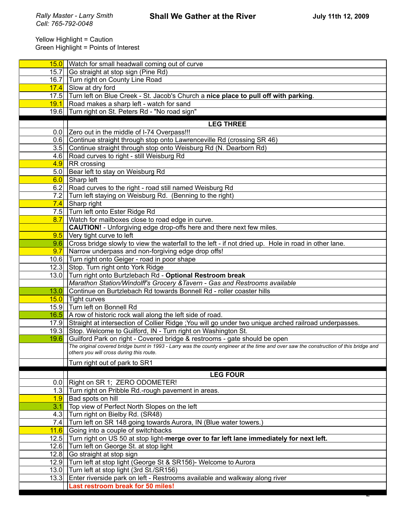|      | 15.0 Watch for small headwall coming out of curve                                                                                      |
|------|----------------------------------------------------------------------------------------------------------------------------------------|
| 15.7 | Go straight at stop sign (Pine Rd)                                                                                                     |
| 16.7 | Turn right on County Line Road                                                                                                         |
| 17.4 | Slow at dry ford                                                                                                                       |
|      | 17.5 Turn left on Blue Creek - St. Jacob's Church a nice place to pull off with parking.                                               |
|      | $\left  \frac{19.1}{18} \right $ Road makes a sharp left - watch for sand                                                              |
|      | 19.6 Turn right on St. Peters Rd - "No road sign"                                                                                      |
|      | <b>LEG THREE</b>                                                                                                                       |
|      | 0.0 Zero out in the middle of I-74 Overpass!!!                                                                                         |
|      | 0.6 Continue straight through stop onto Lawrenceville Rd (crossing SR 46)                                                              |
|      | 3.5 Continue straight through stop onto Weisburg Rd (N. Dearborn Rd)                                                                   |
|      | 4.6 Road curves to right - still Weisburg Rd                                                                                           |
|      | $\frac{4.9}{8}$ RR crossing                                                                                                            |
|      | 5.0 Bear left to stay on Weisburg Rd                                                                                                   |
|      | 6.0 Sharp left                                                                                                                         |
|      | 6.2 Road curves to the right - road still named Weisburg Rd                                                                            |
|      | 7.2 Turn left staying on Weisburg Rd. (Benning to the right)                                                                           |
|      | 7.4 Sharp right                                                                                                                        |
|      | 7.5 Turn left onto Ester Ridge Rd                                                                                                      |
| 8.7  | Watch for mailboxes close to road edge in curve.                                                                                       |
|      | <b>CAUTION!</b> - Unforgiving edge drop-offs here and there next few miles.                                                            |
| 9.5  | Very tight curve to left                                                                                                               |
| 9.6  | Cross bridge slowly to view the waterfall to the left - if not dried up. Hole in road in other lane.                                   |
| 9.7  | Narrow underpass and non-forgiving edge drop offs!                                                                                     |
|      | 10.6 Turn right onto Geiger - road in poor shape                                                                                       |
|      | 12.3 Stop. Turn right onto York Ridge                                                                                                  |
|      | 13.0 Turn right onto Burtzlebach Rd - Optional Restroom break                                                                          |
|      | Marathon Station/Windolff's Grocery & Tavern - Gas and Restrooms available                                                             |
| 13.0 | Continue on Burtzlebach Rd towards Bonnell Rd - roller coaster hills                                                                   |
| 15.0 | <b>Tight curves</b>                                                                                                                    |
|      | 15.9 Turn left on Bonnell Rd                                                                                                           |
|      | 16.5 A row of historic rock wall along the left side of road.                                                                          |
|      | 17.9 Straight at intersection of Collier Ridge ; You will go under two unique arched railroad underpasses.                             |
|      | 19.3 Stop. Welcome to Guilford, IN - Turn right on Washington St.                                                                      |
| 19.6 | Guilford Park on right - Covered bridge & restrooms - gate should be open                                                              |
|      | The original covered bridge burnt in 1993 - Larry was the county engineer at the time and over saw the construction of this bridge and |
|      | others you will cross during this route.                                                                                               |
|      | Turn right out of park to SR1                                                                                                          |
|      | <b>LEG FOUR</b>                                                                                                                        |
|      | 0.0 Right on SR 1; ZERO ODOMETER!                                                                                                      |
| 1.3  | Turn right on Pribble Rd.-rough pavement in areas.                                                                                     |
| 1.9  | Bad spots on hill                                                                                                                      |
| 3.1  | Top view of Perfect North Slopes on the left                                                                                           |
| 4.3  | Turn right on Bielby Rd. (SR48)                                                                                                        |
| 7.4  | Turn left on SR 148 going towards Aurora, IN (Blue water towers.)                                                                      |
| 11.6 | Going into a couple of switchbacks                                                                                                     |
|      | 12.5 Turn right on US 50 at stop light-merge over to far left lane immediately for next left.                                          |
|      | 12.6 Turn left on George St. at stop light                                                                                             |
|      | 12.8 Go straight at stop sign                                                                                                          |
|      | 12.9 Turn left at stop light (George St & SR156)- Welcome to Aurora                                                                    |
|      | 13.0 Turn left at stop light (3rd St./SR156)                                                                                           |
|      | 13.3 Enter riverside park on left - Restrooms available and walkway along river                                                        |
|      | Last restroom break for 50 miles!                                                                                                      |
|      |                                                                                                                                        |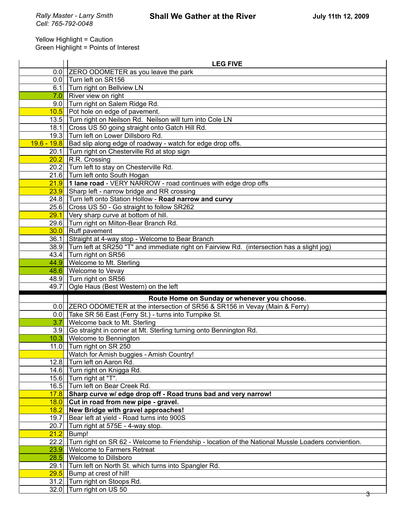|      | <b>LEG FIVE</b>                                                                                         |
|------|---------------------------------------------------------------------------------------------------------|
|      | 0.0 ZERO ODOMETER as you leave the park                                                                 |
|      | 0.0 Turn left on SR156                                                                                  |
| 6.1  | Turn right on Bellview LN                                                                               |
|      | $7.0$ River view on right                                                                               |
|      | 9.0 Turn right on Salem Ridge Rd.                                                                       |
|      | 10.5 Pot hole on edge of pavement.                                                                      |
|      | 13.5 Turn right on Neilson Rd. Neilson will turn into Cole LN                                           |
|      | 18.1 Cross US 50 going straight onto Gatch Hill Rd.                                                     |
|      | 19.3 Turn left on Lower Dillsboro Rd.                                                                   |
|      | 19.6 - 19.8   Bad slip along edge of roadway - watch for edge drop offs.                                |
|      | 20.1 Turn right on Chesterville Rd at stop sign                                                         |
|      | 20.2 R.R. Crossing                                                                                      |
|      | 20.2 Turn left to stay on Chesterville Rd.                                                              |
|      | 21.6 Turn left onto South Hogan                                                                         |
|      | $21.9$ 1 lane road - VERY NARROW - road continues with edge drop offs                                   |
|      | 23.9 Sharp left - narrow bridge and RR crossing                                                         |
|      | 24.8 Turn left onto Station Hollow - Road narrow and curvy                                              |
|      | 25.6 Cross US 50 - Go straight to follow SR262                                                          |
| 29.1 | Very sharp curve at bottom of hill.                                                                     |
|      | 29.6 Turn right on Milton-Bear Branch Rd.                                                               |
|      | 30.0 Ruff pavement                                                                                      |
| 36.1 | Straight at 4-way stop - Welcome to Bear Branch                                                         |
|      | 38.9 Turn left at SR250 "T" and immediate right on Fairview Rd. (intersection has a slight jog)         |
|      | 43.4   Turn right on SR56                                                                               |
|      | 44.9 Welcome to Mt. Sterling                                                                            |
|      | 48.6   Welcome to Vevay                                                                                 |
|      |                                                                                                         |
|      | 48.9 Turn right on SR56                                                                                 |
|      | 49.7   Ogle Haus (Best Western) on the left                                                             |
|      | Route Home on Sunday or whenever you choose.                                                            |
|      | 0.0 ZERO ODOMETER at the intersection of SR56 & SR156 in Vevay (Main & Ferry)                           |
|      | 0.0 Take SR 56 East (Ferry St.) - turns into Turnpike St.                                               |
| 3.7  | Welcome back to Mt. Sterling                                                                            |
|      | 3.9 Go straight in corner at Mt. Sterling turning onto Bennington Rd.                                   |
|      | 10.3 Welcome to Bennington                                                                              |
|      | 11.0 Turn right on SR 250                                                                               |
|      | Watch for Amish buggies - Amish Country!                                                                |
| 12.8 | Turn left on Aaron Rd.                                                                                  |
|      | 14.6 Turn right on Knigga Rd.                                                                           |
|      | 15.6 Turn right at "T".                                                                                 |
|      | 16.5 Turn left on Bear Creek Rd.                                                                        |
|      | 17.8 Sharp curve w/ edge drop off - Road truns bad and very narrow!                                     |
|      | $\frac{18.0}{ }$ Cut in road from new pipe - gravel.                                                    |
| 18.2 | New Bridge with gravel approaches!                                                                      |
| 19.7 | Bear left at yield - Road turns into 900S                                                               |
| 20.7 | Turn right at 575E - 4-way stop.                                                                        |
| 21.2 | Bump!                                                                                                   |
|      | 22.2 Turn right on SR 62 - Welcome to Friendship - location of the National Mussle Loaders conviention. |
| 23.9 | <b>Welcome to Farmers Retreat</b>                                                                       |
| 28.5 | <b>Welcome to Dillsboro</b>                                                                             |
| 29.1 | Turn left on North St. which turns into Spangler Rd.                                                    |
| 29.5 | Bump at crest of hill!                                                                                  |
|      | 31.2 Turn right on Stoops Rd.<br>32.0 Turn right on US 50                                               |